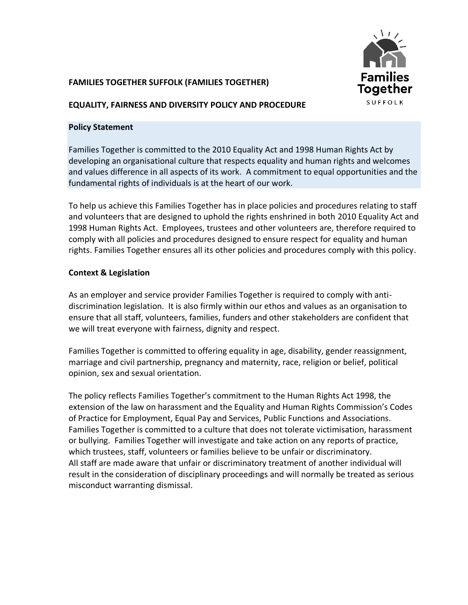

# **FAMILIES TOGETHER SUFFOLK (FAMILIES TOGETHER)**

#### **EQUALITY, FAIRNESS AND DIVERSITY POLICY AND PROCEDURE**

#### **Policy Statement**

Families Together is committed to the 2010 Equality Act and 1998 Human Rights Act by developing an organisational culture that respects equality and human rights and welcomes and values difference in all aspects of its work. A commitment to equal opportunities and the fundamental rights of individuals is at the heart of our work.

To help us achieve this Families Together has in place policies and procedures relating to staff and volunteers that are designed to uphold the rights enshrined in both 2010 Equality Act and 1998 Human Rights Act. Employees, trustees and other volunteers are, therefore required to comply with all policies and procedures designed to ensure respect for equality and human rights. Families Together ensures all its other policies and procedures comply with this policy.

# **Context & Legislation**

As an employer and service provider Families Together is required to comply with antidiscrimination legislation. It is also firmly within our ethos and values as an organisation to ensure that all staff, volunteers, families, funders and other stakeholders are confident that we will treat everyone with fairness, dignity and respect.

Families Together is committed to offering equality in age, disability, gender reassignment, marriage and civil partnership, pregnancy and maternity, race, religion or belief, political opinion, sex and sexual orientation.

The policy reflects Families Together's commitment to the Human Rights Act 1998, the extension of the law on harassment and the Equality and Human Rights Commission's Codes of Practice for Employment, Equal Pay and Services, Public Functions and Associations. Families Together is committed to a culture that does not tolerate victimisation, harassment or bullying. Families Together will investigate and take action on any reports of practice, which trustees, staff, volunteers or families believe to be unfair or discriminatory. All staff are made aware that unfair or discriminatory treatment of another individual will result in the consideration of disciplinary proceedings and will normally be treated as serious misconduct warranting dismissal.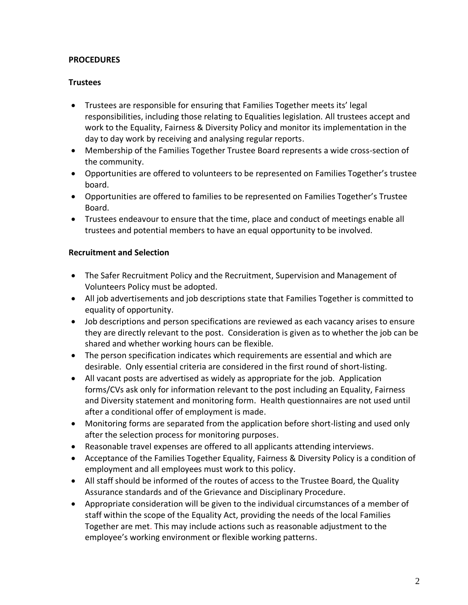# **PROCEDURES**

### **Trustees**

- Trustees are responsible for ensuring that Families Together meets its' legal responsibilities, including those relating to Equalities legislation. All trustees accept and work to the Equality, Fairness & Diversity Policy and monitor its implementation in the day to day work by receiving and analysing regular reports.
- Membership of the Families Together Trustee Board represents a wide cross-section of the community.
- Opportunities are offered to volunteers to be represented on Families Together's trustee board.
- Opportunities are offered to families to be represented on Families Together's Trustee Board.
- Trustees endeavour to ensure that the time, place and conduct of meetings enable all trustees and potential members to have an equal opportunity to be involved.

#### **Recruitment and Selection**

- The Safer Recruitment Policy and the Recruitment, Supervision and Management of Volunteers Policy must be adopted.
- All job advertisements and job descriptions state that Families Together is committed to equality of opportunity.
- Job descriptions and person specifications are reviewed as each vacancy arises to ensure they are directly relevant to the post. Consideration is given as to whether the job can be shared and whether working hours can be flexible.
- The person specification indicates which requirements are essential and which are desirable. Only essential criteria are considered in the first round of short-listing.
- All vacant posts are advertised as widely as appropriate for the job. Application forms/CVs ask only for information relevant to the post including an Equality, Fairness and Diversity statement and monitoring form. Health questionnaires are not used until after a conditional offer of employment is made.
- Monitoring forms are separated from the application before short-listing and used only after the selection process for monitoring purposes.
- Reasonable travel expenses are offered to all applicants attending interviews.
- Acceptance of the Families Together Equality, Fairness & Diversity Policy is a condition of employment and all employees must work to this policy.
- All staff should be informed of the routes of access to the Trustee Board, the Quality Assurance standards and of the Grievance and Disciplinary Procedure.
- Appropriate consideration will be given to the individual circumstances of a member of staff within the scope of the Equality Act, providing the needs of the local Families Together are met. This may include actions such as reasonable adjustment to the employee's working environment or flexible working patterns.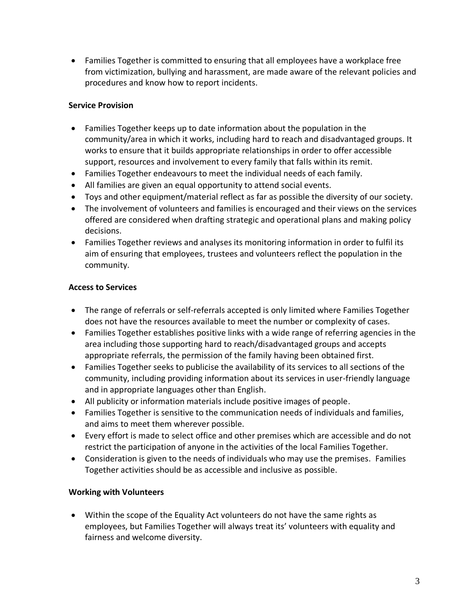• Families Together is committed to ensuring that all employees have a workplace free from victimization, bullying and harassment, are made aware of the relevant policies and procedures and know how to report incidents.

# **Service Provision**

- Families Together keeps up to date information about the population in the community/area in which it works, including hard to reach and disadvantaged groups. It works to ensure that it builds appropriate relationships in order to offer accessible support, resources and involvement to every family that falls within its remit.
- Families Together endeavours to meet the individual needs of each family.
- All families are given an equal opportunity to attend social events.
- Toys and other equipment/material reflect as far as possible the diversity of our society.
- The involvement of volunteers and families is encouraged and their views on the services offered are considered when drafting strategic and operational plans and making policy decisions.
- Families Together reviews and analyses its monitoring information in order to fulfil its aim of ensuring that employees, trustees and volunteers reflect the population in the community.

# **Access to Services**

- The range of referrals or self-referrals accepted is only limited where Families Together does not have the resources available to meet the number or complexity of cases.
- Families Together establishes positive links with a wide range of referring agencies in the area including those supporting hard to reach/disadvantaged groups and accepts appropriate referrals, the permission of the family having been obtained first.
- Families Together seeks to publicise the availability of its services to all sections of the community, including providing information about its services in user-friendly language and in appropriate languages other than English.
- All publicity or information materials include positive images of people.
- Families Together is sensitive to the communication needs of individuals and families, and aims to meet them wherever possible.
- Every effort is made to select office and other premises which are accessible and do not restrict the participation of anyone in the activities of the local Families Together.
- Consideration is given to the needs of individuals who may use the premises. Families Together activities should be as accessible and inclusive as possible.

# **Working with Volunteers**

• Within the scope of the Equality Act volunteers do not have the same rights as employees, but Families Together will always treat its' volunteers with equality and fairness and welcome diversity.